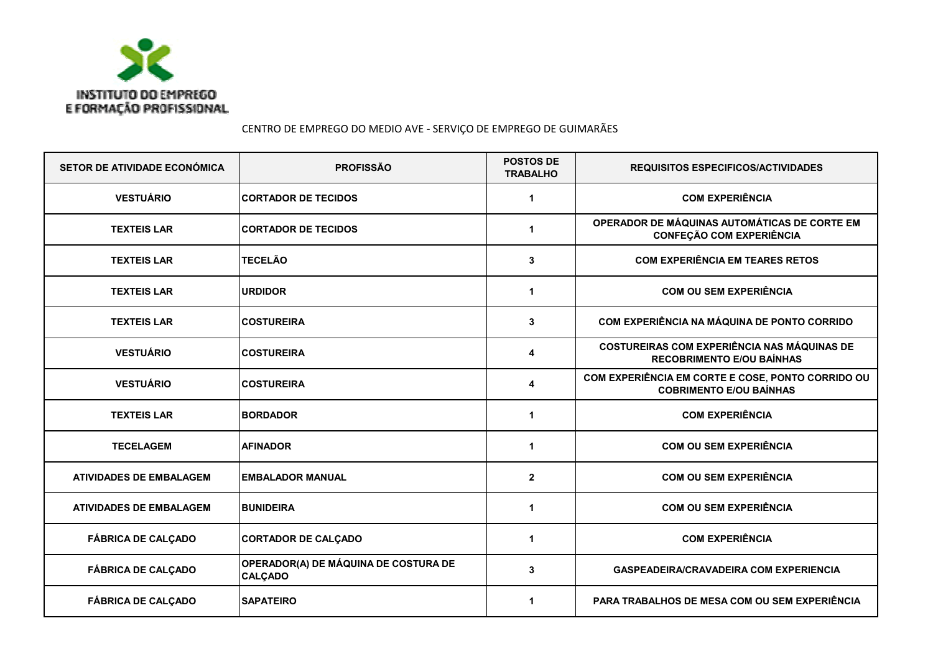

CENTRO DE EMPREGO DO MEDIO AVE - SERVIÇO DE EMPREGO DE GUIMARÃES

| SETOR DE ATIVIDADE ECONÓMICA   | <b>PROFISSÃO</b>                                       | <b>POSTOS DE</b><br><b>TRABALHO</b> | <b>REQUISITOS ESPECIFICOS/ACTIVIDADES</b>                                              |
|--------------------------------|--------------------------------------------------------|-------------------------------------|----------------------------------------------------------------------------------------|
| <b>VESTUÁRIO</b>               | <b>CORTADOR DE TECIDOS</b>                             | 1                                   | <b>COM EXPERIÊNCIA</b>                                                                 |
| <b>TEXTEIS LAR</b>             | <b>CORTADOR DE TECIDOS</b>                             | 1                                   | OPERADOR DE MÁQUINAS AUTOMÁTICAS DE CORTE EM<br><b>CONFEÇÃO COM EXPERIÊNCIA</b>        |
| <b>TEXTEIS LAR</b>             | <b>TECELÃO</b>                                         | 3                                   | <b>COM EXPERIÊNCIA EM TEARES RETOS</b>                                                 |
| <b>TEXTEIS LAR</b>             | <b>URDIDOR</b>                                         | 1                                   | <b>COM OU SEM EXPERIÊNCIA</b>                                                          |
| <b>TEXTEIS LAR</b>             | <b>COSTUREIRA</b>                                      | 3                                   | COM EXPERIÊNCIA NA MÁQUINA DE PONTO CORRIDO                                            |
| <b>VESTUÁRIO</b>               | <b>COSTUREIRA</b>                                      | 4                                   | <b>COSTUREIRAS COM EXPERIÊNCIA NAS MÁQUINAS DE</b><br><b>RECOBRIMENTO E/OU BAÍNHAS</b> |
| <b>VESTUÁRIO</b>               | <b>COSTUREIRA</b>                                      | 4                                   | COM EXPERIÊNCIA EM CORTE E COSE, PONTO CORRIDO OU<br><b>COBRIMENTO E/OU BAÍNHAS</b>    |
| <b>TEXTEIS LAR</b>             | <b>BORDADOR</b>                                        | 1                                   | <b>COM EXPERIÊNCIA</b>                                                                 |
| <b>TECELAGEM</b>               | <b>AFINADOR</b>                                        | 1                                   | <b>COM OU SEM EXPERIÊNCIA</b>                                                          |
| <b>ATIVIDADES DE EMBALAGEM</b> | <b>EMBALADOR MANUAL</b>                                | $\overline{2}$                      | <b>COM OU SEM EXPERIÊNCIA</b>                                                          |
| <b>ATIVIDADES DE EMBALAGEM</b> | <b>BUNIDEIRA</b>                                       | 1                                   | <b>COM OU SEM EXPERIÊNCIA</b>                                                          |
| <b>FÁBRICA DE CALÇADO</b>      | <b>CORTADOR DE CALÇADO</b>                             | 1                                   | <b>COM EXPERIÊNCIA</b>                                                                 |
| <b>FÁBRICA DE CALÇADO</b>      | OPERADOR(A) DE MÁQUINA DE COSTURA DE<br><b>CALÇADO</b> | 3                                   | <b>GASPEADEIRA/CRAVADEIRA COM EXPERIENCIA</b>                                          |
| <b>FÁBRICA DE CALÇADO</b>      | <b>SAPATEIRO</b>                                       | 1                                   | PARA TRABALHOS DE MESA COM OU SEM EXPERIÊNCIA                                          |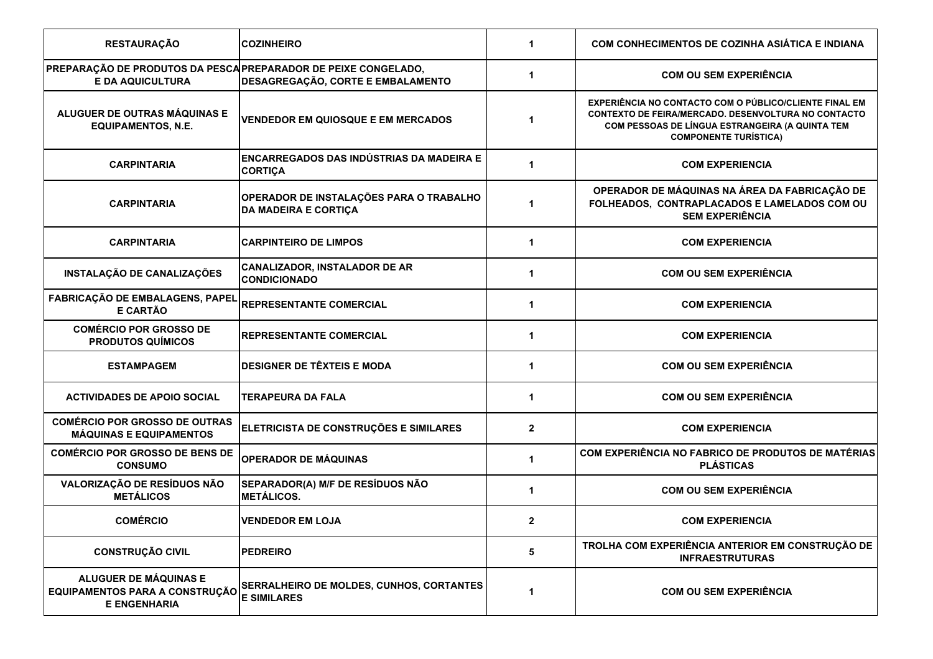| <b>RESTAURAÇÃO</b>                                                                        | <b>COZINHEIRO</b>                                                      | 1                    | COM CONHECIMENTOS DE COZINHA ASIÁTICA E INDIANA                                                                                                                                                                |
|-------------------------------------------------------------------------------------------|------------------------------------------------------------------------|----------------------|----------------------------------------------------------------------------------------------------------------------------------------------------------------------------------------------------------------|
| PREPARAÇÃO DE PRODUTOS DA PESCA PREPARADOR DE PEIXE CONGELADO,<br><b>E DA AQUICULTURA</b> | DESAGREGAÇÃO, CORTE E EMBALAMENTO                                      | 1                    | <b>COM OU SEM EXPERIÊNCIA</b>                                                                                                                                                                                  |
| ALUGUER DE OUTRAS MÁQUINAS E<br><b>EQUIPAMENTOS, N.E.</b>                                 | <b>VENDEDOR EM QUIOSQUE E EM MERCADOS</b>                              | 1                    | <b>EXPERIÊNCIA NO CONTACTO COM O PÚBLICO/CLIENTE FINAL EM</b><br><b>CONTEXTO DE FEIRA/MERCADO. DESENVOLTURA NO CONTACTO</b><br>COM PESSOAS DE LÍNGUA ESTRANGEIRA (A QUINTA TEM<br><b>COMPONENTE TURÍSTICA)</b> |
| <b>CARPINTARIA</b>                                                                        | ENCARREGADOS DAS INDÚSTRIAS DA MADEIRA E<br><b>CORTICA</b>             | $\mathbf{1}$         | <b>COM EXPERIENCIA</b>                                                                                                                                                                                         |
| <b>CARPINTARIA</b>                                                                        | OPERADOR DE INSTALAÇÕES PARA O TRABALHO<br><b>DA MADEIRA E CORTIÇA</b> | $\blacktriangleleft$ | OPERADOR DE MÁQUINAS NA ÁREA DA FABRICAÇÃO DE<br>FOLHEADOS, CONTRAPLACADOS E LAMELADOS COM OU<br><b>SEM EXPERIÊNCIA</b>                                                                                        |
| <b>CARPINTARIA</b>                                                                        | <b>CARPINTEIRO DE LIMPOS</b>                                           | 1                    | <b>COM EXPERIENCIA</b>                                                                                                                                                                                         |
| INSTALAÇÃO DE CANALIZAÇÕES                                                                | <b>CANALIZADOR, INSTALADOR DE AR</b><br><b>CONDICIONADO</b>            | 1                    | <b>COM OU SEM EXPERIÊNCIA</b>                                                                                                                                                                                  |
| FABRICAÇÃO DE EMBALAGENS, PAPEL<br>E CARTÃO                                               | <b>REPRESENTANTE COMERCIAL</b>                                         | 1                    | <b>COM EXPERIENCIA</b>                                                                                                                                                                                         |
| <b>COMÉRCIO POR GROSSO DE</b><br><b>PRODUTOS QUÍMICOS</b>                                 | <b>REPRESENTANTE COMERCIAL</b>                                         | $\mathbf 1$          | <b>COM EXPERIENCIA</b>                                                                                                                                                                                         |
| <b>ESTAMPAGEM</b>                                                                         | <b>DESIGNER DE TÊXTEIS E MODA</b>                                      | $\mathbf{1}$         | <b>COM OU SEM EXPERIÊNCIA</b>                                                                                                                                                                                  |
| <b>ACTIVIDADES DE APOIO SOCIAL</b>                                                        | <b>TERAPEURA DA FALA</b>                                               | 1                    | <b>COM OU SEM EXPERIÊNCIA</b>                                                                                                                                                                                  |
| <b>COMÉRCIO POR GROSSO DE OUTRAS</b><br><b>MÁQUINAS E EQUIPAMENTOS</b>                    | ELETRICISTA DE CONSTRUÇÕES E SIMILARES                                 | $\overline{2}$       | <b>COM EXPERIENCIA</b>                                                                                                                                                                                         |
| <b>COMÉRCIO POR GROSSO DE BENS DE</b><br><b>CONSUMO</b>                                   | <b>OPERADOR DE MÁQUINAS</b>                                            | 1                    | COM EXPERIÊNCIA NO FABRICO DE PRODUTOS DE MATÉRIAS<br><b>PLÁSTICAS</b>                                                                                                                                         |
| VALORIZAÇÃO DE RESÍDUOS NÃO<br><b>METÁLICOS</b>                                           | SEPARADOR(A) M/F DE RESÍDUOS NÃO<br><b>METÁLICOS.</b>                  | 1                    | <b>COM OU SEM EXPERIÊNCIA</b>                                                                                                                                                                                  |
| <b>COMÉRCIO</b>                                                                           | <b>VENDEDOR EM LOJA</b>                                                | $\mathbf{2}$         | <b>COM EXPERIENCIA</b>                                                                                                                                                                                         |
| <b>CONSTRUÇÃO CIVIL</b>                                                                   | <b>PEDREIRO</b>                                                        | 5                    | TROLHA COM EXPERIÊNCIA ANTERIOR EM CONSTRUÇÃO DE<br><b>INFRAESTRUTURAS</b>                                                                                                                                     |
| ALUGUER DE MÁQUINAS E<br>EQUIPAMENTOS PARA A CONSTRUÇÃO<br><b>E ENGENHARIA</b>            | SERRALHEIRO DE MOLDES, CUNHOS, CORTANTES<br><b>E SIMILARES</b>         | 1                    | <b>COM OU SEM EXPERIÊNCIA</b>                                                                                                                                                                                  |